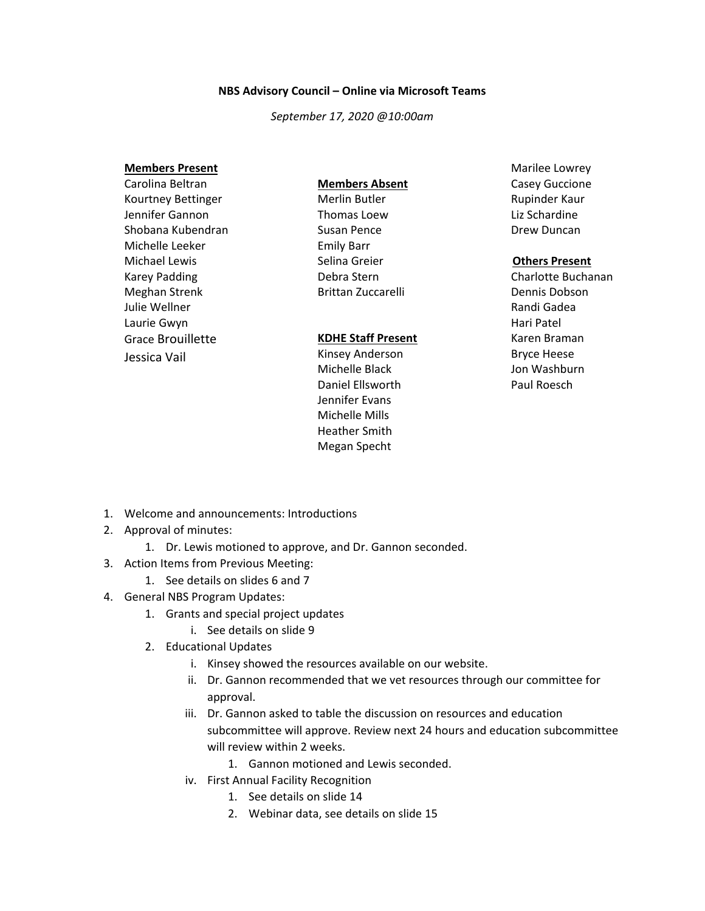## **NBS Advisory Council – Online via Microsoft Teams**

*September 17, 2020 @10:00am*

#### **Members Present**

Carolina Beltran Kourtney Bettinger Jennifer Gannon Shobana Kubendran Michelle Leeker Michael Lewis Karey Padding Meghan Strenk Julie Wellner Laurie Gwyn Grace Brouillette Jessica Vail

## **Members Absent**

Merlin Butler Thomas Loew Susan Pence Emily Barr Selina Greier Debra Stern Brittan Zuccarelli

### **KDHE Staff Present**

Kinsey Anderson Michelle Black Daniel Ellsworth Jennifer Evans Michelle Mills Heather Smith Megan Specht

Marilee Lowrey Casey Guccione Rupinder Kaur Liz Schardine Drew Duncan

# **Others Present**

Charlotte Buchanan Dennis Dobson Randi Gadea Hari Patel Karen Braman Bryce Heese Jon Washburn Paul Roesch

- 1. Welcome and announcements: Introductions
- 2. Approval of minutes:
	- 1. Dr. Lewis motioned to approve, and Dr. Gannon seconded.
- 3. Action Items from Previous Meeting:
	- 1. See details on slides 6 and 7
- 4. General NBS Program Updates:
	- 1. Grants and special project updates
		- i. See details on slide 9
	- 2. Educational Updates
		- i. Kinsey showed the resources available on our website.
		- ii. Dr. Gannon recommended that we vet resources through our committee for approval.
		- iii. Dr. Gannon asked to table the discussion on resources and education subcommittee will approve. Review next 24 hours and education subcommittee will review within 2 weeks.
			- 1. Gannon motioned and Lewis seconded.
		- iv. First Annual Facility Recognition
			- 1. See details on slide 14
			- 2. Webinar data, see details on slide 15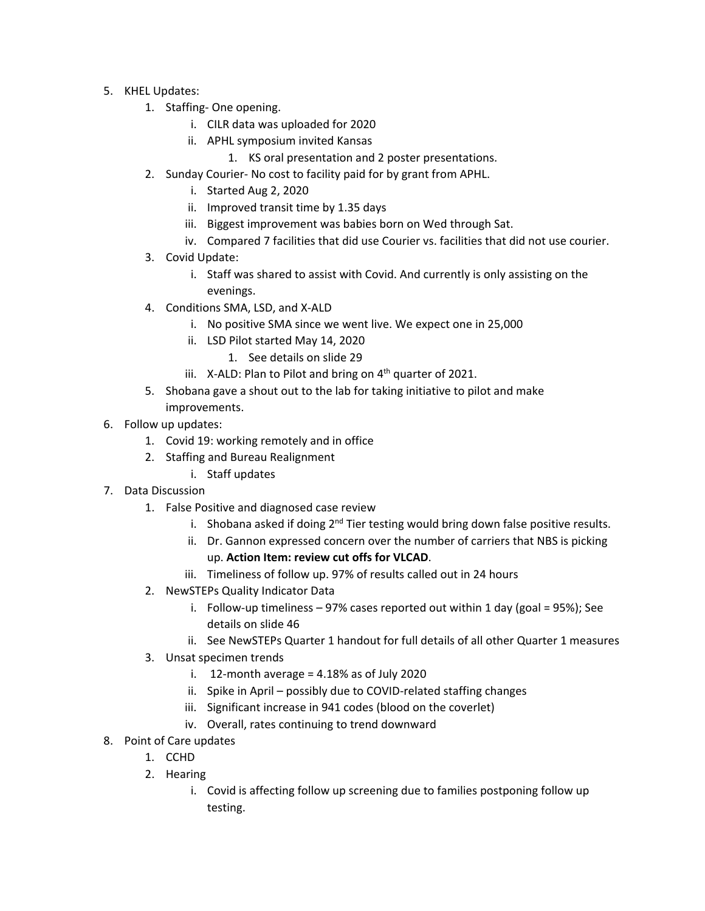- 5. KHEL Updates:
	- 1. Staffing- One opening.
		- i. CILR data was uploaded for 2020
		- ii. APHL symposium invited Kansas
			- 1. KS oral presentation and 2 poster presentations.
	- 2. Sunday Courier- No cost to facility paid for by grant from APHL.
		- i. Started Aug 2, 2020
		- ii. Improved transit time by 1.35 days
		- iii. Biggest improvement was babies born on Wed through Sat.
		- iv. Compared 7 facilities that did use Courier vs. facilities that did not use courier.
	- 3. Covid Update:
		- i. Staff was shared to assist with Covid. And currently is only assisting on the evenings.
	- 4. Conditions SMA, LSD, and X-ALD
		- i. No positive SMA since we went live. We expect one in 25,000
		- ii. LSD Pilot started May 14, 2020
			- 1. See details on slide 29
		- iii. X-ALD: Plan to Pilot and bring on  $4<sup>th</sup>$  quarter of 2021.
	- 5. Shobana gave a shout out to the lab for taking initiative to pilot and make improvements.
- 6. Follow up updates:
	- 1. Covid 19: working remotely and in office
	- 2. Staffing and Bureau Realignment
		- i. Staff updates
- 7. Data Discussion
	- 1. False Positive and diagnosed case review
		- i. Shobana asked if doing  $2^{nd}$  Tier testing would bring down false positive results.
		- ii. Dr. Gannon expressed concern over the number of carriers that NBS is picking up. **Action Item: review cut offs for VLCAD**.
		- iii. Timeliness of follow up. 97% of results called out in 24 hours
	- 2. NewSTEPs Quality Indicator Data
		- i. Follow-up timeliness 97% cases reported out within 1 day (goal = 95%); See details on slide 46
		- ii. See NewSTEPs Quarter 1 handout for full details of all other Quarter 1 measures
	- 3. Unsat specimen trends
		- i.  $12$ -month average = 4.18% as of July 2020
		- ii. Spike in April possibly due to COVID-related staffing changes
		- iii. Significant increase in 941 codes (blood on the coverlet)
		- iv. Overall, rates continuing to trend downward
- 8. Point of Care updates
	- 1. CCHD
	- 2. Hearing
		- i. Covid is affecting follow up screening due to families postponing follow up testing.